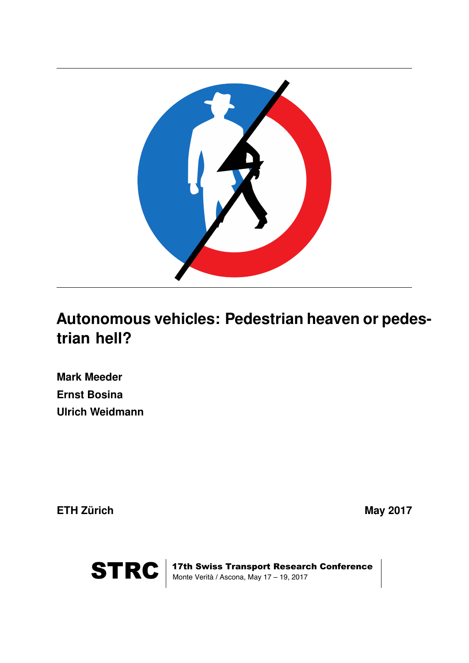

# **Autonomous vehicles: Pedestrian heaven or pedestrian hell?**

**Mark Meeder Ernst Bosina Ulrich Weidmann**

**ETH Zürich May 2017** 



STRC | 17th Swiss Transport Research Conference<br>Monte Verità / Ascona, May 17 – 19, 2017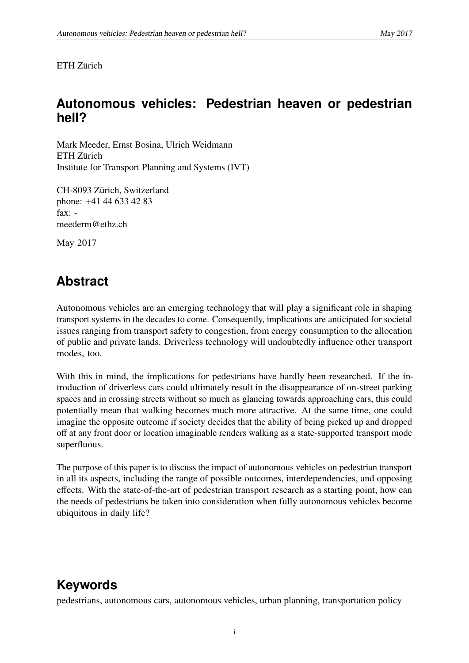ETH Zürich

### **Autonomous vehicles: Pedestrian heaven or pedestrian hell?**

Mark Meeder, Ernst Bosina, Ulrich Weidmann ETH Zürich Institute for Transport Planning and Systems (IVT)

CH-8093 Zürich, Switzerland phone: +41 44 633 42 83 fax $\cdot$  meederm@ethz.ch

May 2017

# **Abstract**

Autonomous vehicles are an emerging technology that will play a significant role in shaping transport systems in the decades to come. Consequently, implications are anticipated for societal issues ranging from transport safety to congestion, from energy consumption to the allocation of public and private lands. Driverless technology will undoubtedly influence other transport modes, too.

With this in mind, the implications for pedestrians have hardly been researched. If the introduction of driverless cars could ultimately result in the disappearance of on-street parking spaces and in crossing streets without so much as glancing towards approaching cars, this could potentially mean that walking becomes much more attractive. At the same time, one could imagine the opposite outcome if society decides that the ability of being picked up and dropped off at any front door or location imaginable renders walking as a state-supported transport mode superfluous.

The purpose of this paper is to discuss the impact of autonomous vehicles on pedestrian transport in all its aspects, including the range of possible outcomes, interdependencies, and opposing effects. With the state-of-the-art of pedestrian transport research as a starting point, how can the needs of pedestrians be taken into consideration when fully autonomous vehicles become ubiquitous in daily life?

# **Keywords**

pedestrians, autonomous cars, autonomous vehicles, urban planning, transportation policy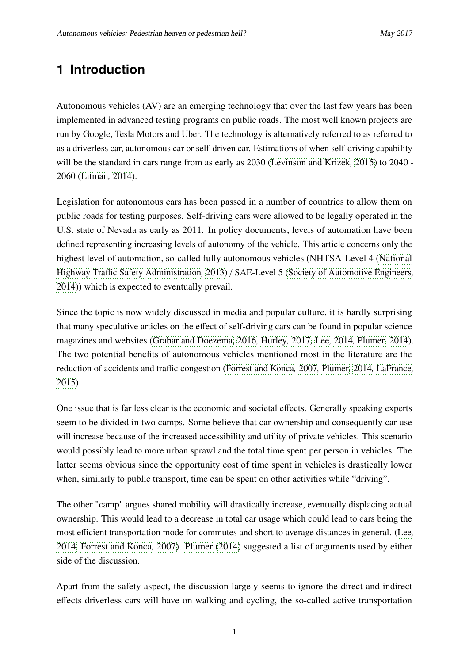# **1 Introduction**

Autonomous vehicles (AV) are an emerging technology that over the last few years has been implemented in advanced testing programs on public roads. The most well known projects are run by Google, Tesla Motors and Uber. The technology is alternatively referred to as referred to as a driverless car, autonomous car or self-driven car. Estimations of when self-driving capability will be the standard in cars range from as early as 2030 [\(Levinson and Krizek](#page-9-0)*,* [2015\)](#page-9-0) to 2040 - 2060 [\(Litman](#page-9-1)*,* [2014\)](#page-9-1).

Legislation for autonomous cars has been passed in a number of countries to allow them on public roads for testing purposes. Self-driving cars were allowed to be legally operated in the U.S. state of Nevada as early as 2011. In policy documents, levels of automation have been defined representing increasing levels of autonomy of the vehicle. This article concerns only the highest level of automation, so-called fully autonomous vehicles (NHTSA-Level 4 [\(National](#page-9-2) Highway Traffi[c Safety Administration](#page-9-2)*,* [2013\)](#page-9-2) / SAE-Level 5 [\(Society of Automotive Engineers](#page-10-0)*,* [2014\)](#page-10-0)) which is expected to eventually prevail.

Since the topic is now widely discussed in media and popular culture, it is hardly surprising that many speculative articles on the effect of self-driving cars can be found in popular science magazines and websites [\(Grabar and Doezema](#page-9-3)*,* [2016](#page-9-3)*,* [Hurley](#page-9-4)*,* [2017](#page-9-4)*,* [Lee](#page-9-5)*,* [2014](#page-9-5)*,* [Plumer](#page-9-6)*,* [2014\)](#page-9-6). The two potential benefits of autonomous vehicles mentioned most in the literature are the reduction of accidents and traffic congestion [\(Forrest and Konca](#page-9-7)*,* [2007](#page-9-7)*,* [Plumer](#page-9-6)*,* [2014](#page-9-6)*,* [LaFrance](#page-9-8)*,* [2015\)](#page-9-8).

One issue that is far less clear is the economic and societal effects. Generally speaking experts seem to be divided in two camps. Some believe that car ownership and consequently car use will increase because of the increased accessibility and utility of private vehicles. This scenario would possibly lead to more urban sprawl and the total time spent per person in vehicles. The latter seems obvious since the opportunity cost of time spent in vehicles is drastically lower when, similarly to public transport, time can be spent on other activities while "driving".

The other "camp" argues shared mobility will drastically increase, eventually displacing actual ownership. This would lead to a decrease in total car usage which could lead to cars being the most efficient transportation mode for commutes and short to average distances in general. [\(Lee](#page-9-5)*,* [2014](#page-9-5)*,* [Forrest and Konca](#page-9-7)*,* [2007\)](#page-9-7). [Plumer](#page-9-6) [\(2014\)](#page-9-6) suggested a list of arguments used by either side of the discussion.

Apart from the safety aspect, the discussion largely seems to ignore the direct and indirect effects driverless cars will have on walking and cycling, the so-called active transportation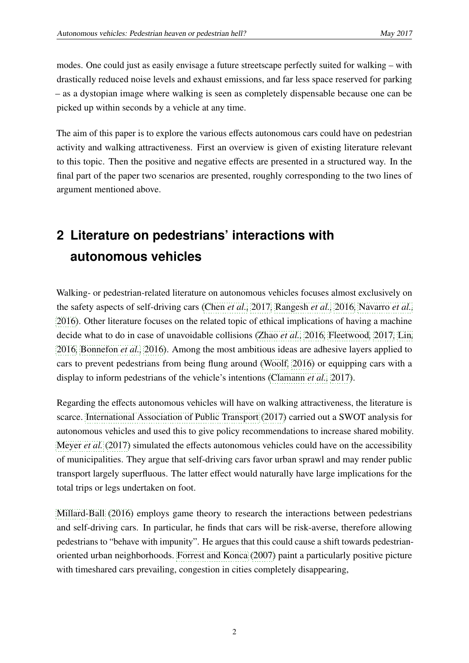modes. One could just as easily envisage a future streetscape perfectly suited for walking – with drastically reduced noise levels and exhaust emissions, and far less space reserved for parking – as a dystopian image where walking is seen as completely dispensable because one can be picked up within seconds by a vehicle at any time.

The aim of this paper is to explore the various effects autonomous cars could have on pedestrian activity and walking attractiveness. First an overview is given of existing literature relevant to this topic. Then the positive and negative effects are presented in a structured way. In the final part of the paper two scenarios are presented, roughly corresponding to the two lines of argument mentioned above.

# **2 Literature on pedestrians' interactions with autonomous vehicles**

Walking- or pedestrian-related literature on autonomous vehicles focuses almost exclusively on the safety aspects of self-driving cars [\(Chen](#page-8-0) *et al.,* [2017](#page-8-0)*,* [Rangesh](#page-9-9) *et al.,* [2016](#page-9-9)*,* [Navarro](#page-9-10) *et al.,* [2016\)](#page-9-10). Other literature focuses on the related topic of ethical implications of having a machine decide what to do in case of unavoidable collisions [\(Zhao](#page-10-1) *et al.,* [2016](#page-10-1)*,* [Fleetwood](#page-8-1)*,* [2017](#page-8-1)*,* [Lin](#page-9-11)*,* [2016](#page-9-11)*,* [Bonnefon](#page-8-2) *et al.,* [2016\)](#page-8-2). Among the most ambitious ideas are adhesive layers applied to cars to prevent pedestrians from being flung around [\(Woolf](#page-10-2)*,* [2016\)](#page-10-2) or equipping cars with a display to inform pedestrians of the vehicle's intentions [\(Clamann](#page-8-3) *et al.,* [2017\)](#page-8-3).

Regarding the effects autonomous vehicles will have on walking attractiveness, the literature is scarce. [International Association of Public Transport](#page-9-12) [\(2017\)](#page-9-12) carried out a SWOT analysis for autonomous vehicles and used this to give policy recommendations to increase shared mobility. [Meyer](#page-9-13) *et al.* [\(2017\)](#page-9-13) simulated the effects autonomous vehicles could have on the accessibility of municipalities. They argue that self-driving cars favor urban sprawl and may render public transport largely superfluous. The latter effect would naturally have large implications for the total trips or legs undertaken on foot.

[Millard-Ball](#page-9-14) [\(2016\)](#page-9-14) employs game theory to research the interactions between pedestrians and self-driving cars. In particular, he finds that cars will be risk-averse, therefore allowing pedestrians to "behave with impunity". He argues that this could cause a shift towards pedestrianoriented urban neighborhoods. [Forrest and Konca](#page-9-7) [\(2007\)](#page-9-7) paint a particularly positive picture with timeshared cars prevailing, congestion in cities completely disappearing,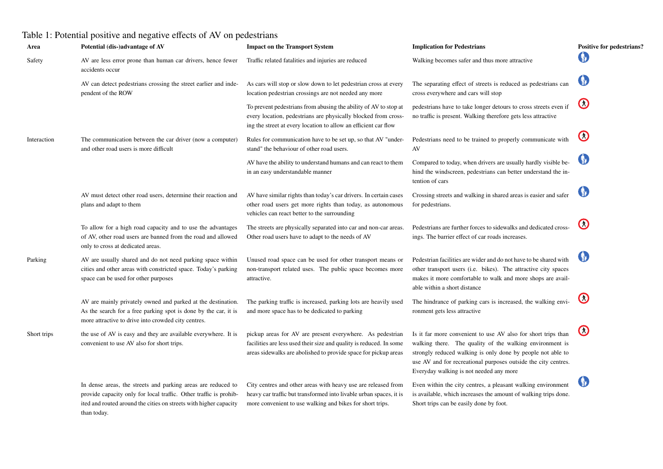#### <span id="page-4-0"></span>Table 1: Potential positive and negative <sup>e</sup>ffects of AV on pedestrians

| Area        | Potential (dis-)advantage of AV                                                                                                                                                                                       | <b>Impact on the Transport System</b>                                                                                                                                                                 | <b>Implication for Pedestrians</b>                                                                                                                                                                                                                                                                    | <b>Positive for pedestrians?</b>                                   |
|-------------|-----------------------------------------------------------------------------------------------------------------------------------------------------------------------------------------------------------------------|-------------------------------------------------------------------------------------------------------------------------------------------------------------------------------------------------------|-------------------------------------------------------------------------------------------------------------------------------------------------------------------------------------------------------------------------------------------------------------------------------------------------------|--------------------------------------------------------------------|
| Safety      | AV are less error prone than human car drivers, hence fewer<br>accidents occur                                                                                                                                        | Traffic related fatalities and injuries are reduced                                                                                                                                                   | Walking becomes safer and thus more attractive                                                                                                                                                                                                                                                        | $\left(\frac{1}{2}\right)$                                         |
|             | AV can detect pedestrians crossing the street earlier and inde-<br>pendent of the ROW                                                                                                                                 | As cars will stop or slow down to let pedestrian cross at every<br>location pedestrian crossings are not needed any more                                                                              | The separating effect of streets is reduced as pedestrians can<br>cross everywhere and cars will stop                                                                                                                                                                                                 | $\left(\begin{smallmatrix} 1 & 1\\ 1 & 1 \end{smallmatrix}\right)$ |
|             |                                                                                                                                                                                                                       | To prevent pedestrians from abusing the ability of AV to stop at<br>every location, pedestrians are physically blocked from cross-<br>ing the street at every location to allow an efficient car flow | pedestrians have to take longer detours to cross streets even if<br>no traffic is present. Walking therefore gets less attractive                                                                                                                                                                     | $\boldsymbol{\odot}$                                               |
| Interaction | The communication between the car driver (now a computer)<br>and other road users is more difficult                                                                                                                   | Rules for communication have to be set up, so that AV "under-<br>stand" the behaviour of other road users.                                                                                            | Pedestrians need to be trained to properly communicate with<br>AV                                                                                                                                                                                                                                     | $\boldsymbol{\omega}$                                              |
|             |                                                                                                                                                                                                                       | AV have the ability to understand humans and can react to them<br>in an easy understandable manner                                                                                                    | Compared to today, when drivers are usually hardly visible be-<br>hind the windscreen, pedestrians can better understand the in-<br>tention of cars                                                                                                                                                   | $\left(\begin{smallmatrix} 1 & 1\\ 1 & 1 \end{smallmatrix}\right)$ |
|             | AV must detect other road users, determine their reaction and<br>plans and adapt to them                                                                                                                              | AV have similar rights than today's car drivers. In certain cases<br>other road users get more rights than today, as autonomous<br>vehicles can react better to the surrounding                       | Crossing streets and walking in shared areas is easier and safer<br>for pedestrians.                                                                                                                                                                                                                  | $\mathbf{M}$                                                       |
|             | To allow for a high road capacity and to use the advantages<br>of AV, other road users are banned from the road and allowed<br>only to cross at dedicated areas.                                                      | The streets are physically separated into car and non-car areas.<br>Other road users have to adapt to the needs of AV                                                                                 | Pedestrians are further forces to sidewalks and dedicated cross-<br>ings. The barrier effect of car roads increases.                                                                                                                                                                                  | $\boldsymbol{\omega}$                                              |
| Parking     | AV are usually shared and do not need parking space within<br>cities and other areas with constricted space. Today's parking<br>space can be used for other purposes                                                  | Unused road space can be used for other transport means or<br>non-transport related uses. The public space becomes more<br>attractive.                                                                | Pedestrian facilities are wider and do not have to be shared with<br>other transport users (i.e. bikes). The attractive city spaces<br>makes it more comfortable to walk and more shops are avail-<br>able within a short distance                                                                    | <b>IN</b>                                                          |
|             | AV are mainly privately owned and parked at the destination.<br>As the search for a free parking spot is done by the car, it is<br>more attractive to drive into crowded city centres.                                | The parking traffic is increased, parking lots are heavily used<br>and more space has to be dedicated to parking                                                                                      | The hindrance of parking cars is increased, the walking envi-<br>ronment gets less attractive                                                                                                                                                                                                         | $\boldsymbol{\omega}$                                              |
| Short trips | the use of AV is easy and they are available everywhere. It is<br>convenient to use AV also for short trips.                                                                                                          | pickup areas for AV are present everywhere. As pedestrian<br>facilities are less used their size and quality is reduced. In some<br>areas sidewalks are abolished to provide space for pickup areas   | Is it far more convenient to use AV also for short trips than<br>walking there. The quality of the walking environment is<br>strongly reduced walking is only done by people not able to<br>use AV and for recreational purposes outside the city centres.<br>Everyday walking is not needed any more | $\bigcirc$                                                         |
|             | In dense areas, the streets and parking areas are reduced to<br>provide capacity only for local traffic. Other traffic is prohib-<br>ited and routed around the cities on streets with higher capacity<br>than today. | City centres and other areas with heavy use are released from<br>heavy car traffic but transformed into livable urban spaces, it is<br>more convenient to use walking and bikes for short trips.      | Even within the city centres, a pleasant walking environment<br>is available, which increases the amount of walking trips done.<br>Short trips can be easily done by foot.                                                                                                                            | $\mathbb{R}$                                                       |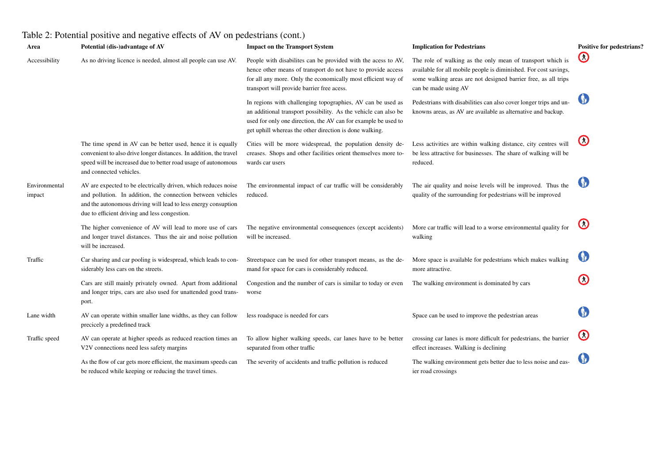#### Table 2: Potential positive and negative <sup>e</sup>ffects of AV on pedestrians (cont.)

<span id="page-5-0"></span>

| Area                    | Potential (dis-)advantage of AV                                                                                                                                                                                                                  | <b>Impact on the Transport System</b>                                                                                                                                                                                                                       | <b>Implication for Pedestrians</b>                                                                                                                                                                                       | <b>Positive for pedestrians?</b> |
|-------------------------|--------------------------------------------------------------------------------------------------------------------------------------------------------------------------------------------------------------------------------------------------|-------------------------------------------------------------------------------------------------------------------------------------------------------------------------------------------------------------------------------------------------------------|--------------------------------------------------------------------------------------------------------------------------------------------------------------------------------------------------------------------------|----------------------------------|
| Accessibility           | As no driving licence is needed, almost all people can use AV.                                                                                                                                                                                   | People with disabilities can be provided with the acess to AV,<br>hence other means of transport do not have to provide access<br>for all any more. Only the economically most efficient way of<br>transport will provide barrier free acess.               | The role of walking as the only mean of transport which is<br>available for all mobile people is diminished. For cost savings,<br>some walking areas are not designed barrier free, as all trips<br>can be made using AV | $\bm{\mathcal{O}}$               |
|                         |                                                                                                                                                                                                                                                  | In regions with challenging topographies, AV can be used as<br>an additional transport possibility. As the vehicle can also be<br>used for only one direction, the AV can for example be used to<br>get uphill whereas the other direction is done walking. | Pedestrians with disabilities can also cover longer trips and un-<br>knowns areas, as AV are available as alternative and backup.                                                                                        |                                  |
|                         | The time spend in AV can be better used, hence it is equally<br>convenient to also drive longer distances. In addition, the travel<br>speed will be increased due to better road usage of autonomous<br>and connected vehicles.                  | Cities will be more widespread, the population density de-<br>creases. Shops and other facilities orient themselves more to-<br>wards car users                                                                                                             | Less activities are within walking distance, city centres will<br>be less attractive for businesses. The share of walking will be<br>reduced.                                                                            | $\bm{\mathcal{O}}$               |
| Environmental<br>impact | AV are expected to be electrically driven, which reduces noise<br>and pollution. In addition, the connection between vehicles<br>and the autonomous driving will lead to less energy consuption<br>due to efficient driving and less congestion. | The environmental impact of car traffic will be considerably<br>reduced.                                                                                                                                                                                    | The air quality and noise levels will be improved. Thus the<br>quality of the surrounding for pedestrians will be improved                                                                                               |                                  |
|                         | The higher convenience of AV will lead to more use of cars<br>and longer travel distances. Thus the air and noise pollution<br>will be increased.                                                                                                | The negative environmental consequences (except accidents)<br>will be increased.                                                                                                                                                                            | More car traffic will lead to a worse environmental quality for<br>walking                                                                                                                                               | $\bm{\omega}$                    |
| Traffic                 | Car sharing and car pooling is widespread, which leads to con-<br>siderably less cars on the streets.                                                                                                                                            | Streetspace can be used for other transport means, as the de-<br>mand for space for cars is considerably reduced.                                                                                                                                           | More space is available for pedestrians which makes walking<br>more attractive.                                                                                                                                          | G                                |
|                         | Cars are still mainly privately owned. Apart from additional<br>and longer trips, cars are also used for unattended good trans-<br>port.                                                                                                         | Congestion and the number of cars is similar to today or even<br>worse                                                                                                                                                                                      | The walking environment is dominated by cars                                                                                                                                                                             | $\bm{\Theta}$                    |
| Lane width              | AV can operate within smaller lane widths, as they can follow<br>precicely a predefined track                                                                                                                                                    | less roadspace is needed for cars                                                                                                                                                                                                                           | Space can be used to improve the pedestrian areas                                                                                                                                                                        | <b>GR</b>                        |
| Traffic speed           | AV can operate at higher speeds as reduced reaction times an<br>V2V connections need less safety margins                                                                                                                                         | To allow higher walking speeds, car lanes have to be better<br>separated from other traffic                                                                                                                                                                 | crossing car lanes is more difficult for pedestrians, the barrier<br>effect increases. Walking is declining                                                                                                              | $\boldsymbol{\mathrm{O}}$        |
|                         | As the flow of car gets more efficient, the maximum speeds can<br>be reduced while keeping or reducing the travel times.                                                                                                                         | The severity of accidents and traffic pollution is reduced                                                                                                                                                                                                  | The walking environment gets better due to less noise and eas-<br>ier road crossings                                                                                                                                     | $\mathcal{A}$                    |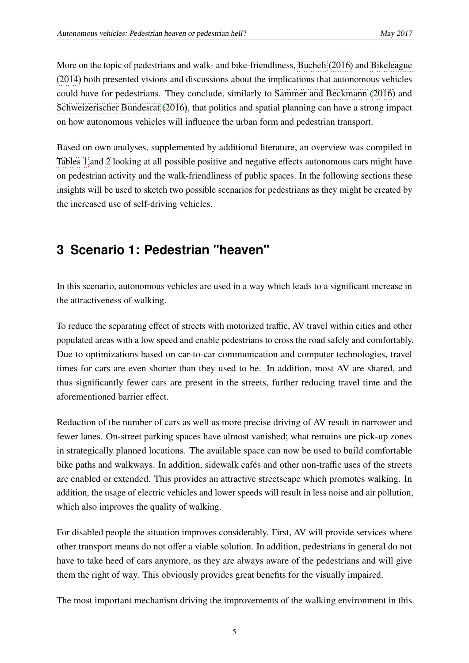More on the topic of pedestrians and walk- and bike-friendliness, [Bucheli](#page-8-4) [\(2016\)](#page-8-4) and [Bikeleague](#page-8-5) [\(2014\)](#page-8-5) both presented visions and discussions about the implications that autonomous vehicles could have for pedestrians. They conclude, similarly to [Sammer and Beckmann](#page-10-3) [\(2016\)](#page-10-3) and [Schweizerischer Bundesrat](#page-10-4) [\(2016\)](#page-10-4), that politics and spatial planning can have a strong impact on how autonomous vehicles will influence the urban form and pedestrian transport.

Based on own analyses, supplemented by additional literature, an overview was compiled in [Tables 1](#page-4-0) and [2](#page-5-0) looking at all possible positive and negative effects autonomous cars might have on pedestrian activity and the walk-friendliness of public spaces. In the following sections these insights will be used to sketch two possible scenarios for pedestrians as they might be created by the increased use of self-driving vehicles.

## **3 Scenario 1: Pedestrian "heaven"**

In this scenario, autonomous vehicles are used in a way which leads to a significant increase in the attractiveness of walking.

To reduce the separating effect of streets with motorized traffic, AV travel within cities and other populated areas with a low speed and enable pedestrians to cross the road safely and comfortably. Due to optimizations based on car-to-car communication and computer technologies, travel times for cars are even shorter than they used to be. In addition, most AV are shared, and thus significantly fewer cars are present in the streets, further reducing travel time and the aforementioned barrier effect.

Reduction of the number of cars as well as more precise driving of AV result in narrower and fewer lanes. On-street parking spaces have almost vanished; what remains are pick-up zones in strategically planned locations. The available space can now be used to build comfortable bike paths and walkways. In addition, sidewalk cafés and other non-traffic uses of the streets are enabled or extended. This provides an attractive streetscape which promotes walking. In addition, the usage of electric vehicles and lower speeds will result in less noise and air pollution, which also improves the quality of walking.

For disabled people the situation improves considerably. First, AV will provide services where other transport means do not offer a viable solution. In addition, pedestrians in general do not have to take heed of cars anymore, as they are always aware of the pedestrians and will give them the right of way. This obviously provides great benefits for the visually impaired.

The most important mechanism driving the improvements of the walking environment in this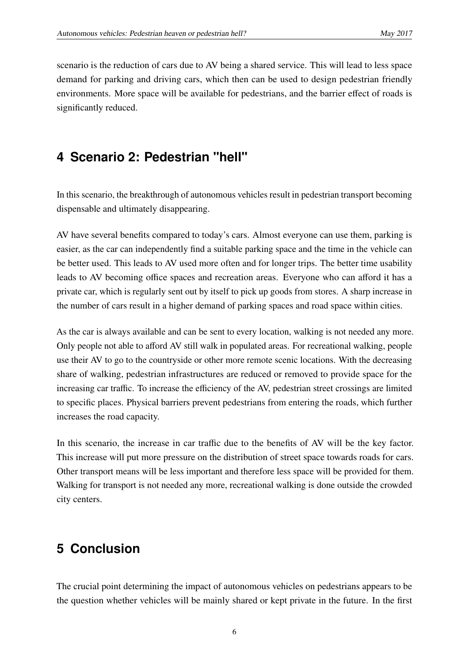scenario is the reduction of cars due to AV being a shared service. This will lead to less space demand for parking and driving cars, which then can be used to design pedestrian friendly environments. More space will be available for pedestrians, and the barrier effect of roads is significantly reduced.

### **4 Scenario 2: Pedestrian "hell"**

In this scenario, the breakthrough of autonomous vehicles result in pedestrian transport becoming dispensable and ultimately disappearing.

AV have several benefits compared to today's cars. Almost everyone can use them, parking is easier, as the car can independently find a suitable parking space and the time in the vehicle can be better used. This leads to AV used more often and for longer trips. The better time usability leads to AV becoming office spaces and recreation areas. Everyone who can afford it has a private car, which is regularly sent out by itself to pick up goods from stores. A sharp increase in the number of cars result in a higher demand of parking spaces and road space within cities.

As the car is always available and can be sent to every location, walking is not needed any more. Only people not able to afford AV still walk in populated areas. For recreational walking, people use their AV to go to the countryside or other more remote scenic locations. With the decreasing share of walking, pedestrian infrastructures are reduced or removed to provide space for the increasing car traffic. To increase the efficiency of the AV, pedestrian street crossings are limited to specific places. Physical barriers prevent pedestrians from entering the roads, which further increases the road capacity.

In this scenario, the increase in car traffic due to the benefits of AV will be the key factor. This increase will put more pressure on the distribution of street space towards roads for cars. Other transport means will be less important and therefore less space will be provided for them. Walking for transport is not needed any more, recreational walking is done outside the crowded city centers.

# **5 Conclusion**

The crucial point determining the impact of autonomous vehicles on pedestrians appears to be the question whether vehicles will be mainly shared or kept private in the future. In the first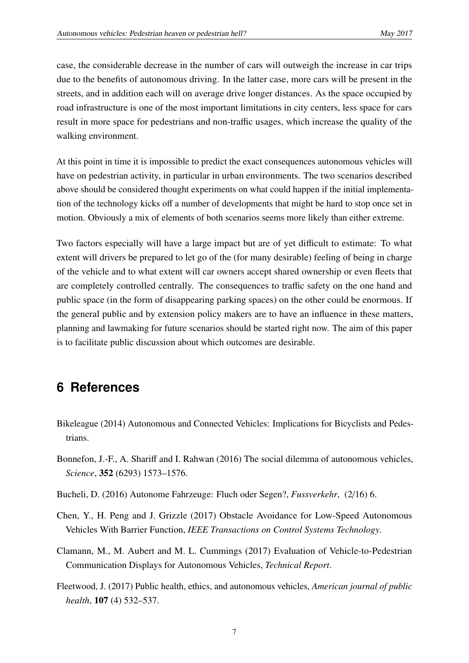case, the considerable decrease in the number of cars will outweigh the increase in car trips due to the benefits of autonomous driving. In the latter case, more cars will be present in the streets, and in addition each will on average drive longer distances. As the space occupied by road infrastructure is one of the most important limitations in city centers, less space for cars result in more space for pedestrians and non-traffic usages, which increase the quality of the walking environment.

At this point in time it is impossible to predict the exact consequences autonomous vehicles will have on pedestrian activity, in particular in urban environments. The two scenarios described above should be considered thought experiments on what could happen if the initial implementation of the technology kicks off a number of developments that might be hard to stop once set in motion. Obviously a mix of elements of both scenarios seems more likely than either extreme.

Two factors especially will have a large impact but are of yet difficult to estimate: To what extent will drivers be prepared to let go of the (for many desirable) feeling of being in charge of the vehicle and to what extent will car owners accept shared ownership or even fleets that are completely controlled centrally. The consequences to traffic safety on the one hand and public space (in the form of disappearing parking spaces) on the other could be enormous. If the general public and by extension policy makers are to have an influence in these matters, planning and lawmaking for future scenarios should be started right now. The aim of this paper is to facilitate public discussion about which outcomes are desirable.

## **6 References**

- <span id="page-8-5"></span>Bikeleague (2014) Autonomous and Connected Vehicles: Implications for Bicyclists and Pedestrians.
- <span id="page-8-2"></span>Bonnefon, J.-F., A. Shariff and I. Rahwan (2016) The social dilemma of autonomous vehicles, *Science*, 352 (6293) 1573–1576.
- <span id="page-8-4"></span>Bucheli, D. (2016) Autonome Fahrzeuge: Fluch oder Segen?, *Fussverkehr*, (2/16) 6.
- <span id="page-8-0"></span>Chen, Y., H. Peng and J. Grizzle (2017) Obstacle Avoidance for Low-Speed Autonomous Vehicles With Barrier Function, *IEEE Transactions on Control Systems Technology*.
- <span id="page-8-3"></span>Clamann, M., M. Aubert and M. L. Cummings (2017) Evaluation of Vehicle-to-Pedestrian Communication Displays for Autonomous Vehicles, *Technical Report*.
- <span id="page-8-1"></span>Fleetwood, J. (2017) Public health, ethics, and autonomous vehicles, *American journal of public health*, 107 (4) 532–537.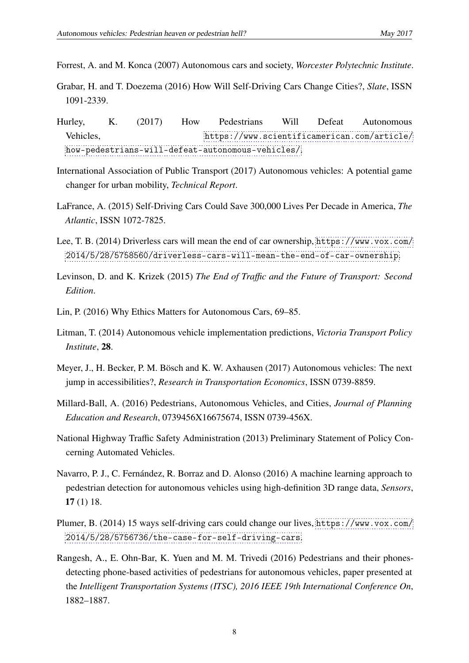<span id="page-9-7"></span>Forrest, A. and M. Konca (2007) Autonomous cars and society, *Worcester Polytechnic Institute*.

- <span id="page-9-3"></span>Grabar, H. and T. Doezema (2016) How Will Self-Driving Cars Change Cities?, *Slate*, ISSN 1091-2339.
- <span id="page-9-4"></span>Hurley, K. (2017) How Pedestrians Will Defeat Autonomous Vehicles, [https://www.scientificamerican.com/article/](https://www.scientificamerican.com/article/how-pedestrians-will-defeat-autonomous-vehicles/) [how-pedestrians-will-defeat-autonomous-vehicles/](https://www.scientificamerican.com/article/how-pedestrians-will-defeat-autonomous-vehicles/).
- <span id="page-9-12"></span>International Association of Public Transport (2017) Autonomous vehicles: A potential game changer for urban mobility, *Technical Report*.
- <span id="page-9-8"></span>LaFrance, A. (2015) Self-Driving Cars Could Save 300,000 Lives Per Decade in America, *The Atlantic*, ISSN 1072-7825.
- <span id="page-9-5"></span>Lee, T. B. (2014) Driverless cars will mean the end of car ownership, [https://www.vox.com/](https://www.vox.com/2014/5/28/5758560/driverless-cars-will-mean-the-end-of-car-ownership) [2014/5/28/5758560/driverless-cars-will-mean-the-end-of-car-ownership](https://www.vox.com/2014/5/28/5758560/driverless-cars-will-mean-the-end-of-car-ownership).
- <span id="page-9-0"></span>Levinson, D. and K. Krizek (2015) *The End of Tra*ffi*c and the Future of Transport: Second Edition*.
- <span id="page-9-11"></span>Lin, P. (2016) Why Ethics Matters for Autonomous Cars, 69–85.
- <span id="page-9-1"></span>Litman, T. (2014) Autonomous vehicle implementation predictions, *Victoria Transport Policy Institute*, 28.
- <span id="page-9-13"></span>Meyer, J., H. Becker, P. M. Bösch and K. W. Axhausen (2017) Autonomous vehicles: The next jump in accessibilities?, *Research in Transportation Economics*, ISSN 0739-8859.
- <span id="page-9-14"></span>Millard-Ball, A. (2016) Pedestrians, Autonomous Vehicles, and Cities, *Journal of Planning Education and Research*, 0739456X16675674, ISSN 0739-456X.
- <span id="page-9-2"></span>National Highway Traffic Safety Administration (2013) Preliminary Statement of Policy Concerning Automated Vehicles.
- <span id="page-9-10"></span>Navarro, P. J., C. Fernández, R. Borraz and D. Alonso (2016) A machine learning approach to pedestrian detection for autonomous vehicles using high-definition 3D range data, *Sensors*, 17 (1) 18.
- <span id="page-9-6"></span>Plumer, B. (2014) 15 ways self-driving cars could change our lives, [https://www.vox.com/](https://www.vox.com/2014/5/28/5756736/the-case-for-self-driving-cars) [2014/5/28/5756736/the-case-for-self-driving-cars](https://www.vox.com/2014/5/28/5756736/the-case-for-self-driving-cars).
- <span id="page-9-9"></span>Rangesh, A., E. Ohn-Bar, K. Yuen and M. M. Trivedi (2016) Pedestrians and their phonesdetecting phone-based activities of pedestrians for autonomous vehicles, paper presented at the *Intelligent Transportation Systems (ITSC), 2016 IEEE 19th International Conference On*, 1882–1887.